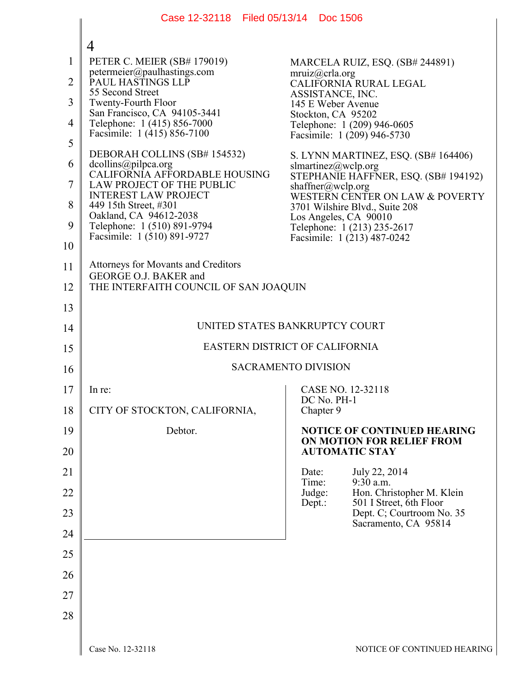|                | Case 12-32118 Filed 05/13/14 Doc 1506                          |                                                                   |  |
|----------------|----------------------------------------------------------------|-------------------------------------------------------------------|--|
|                | 4                                                              |                                                                   |  |
| 1              | PETER C. MEIER (SB# 179019)                                    | MARCELA RUIZ, ESQ. (SB# 244891)                                   |  |
| $\overline{2}$ | petermeier@paulhastings.com<br>PAUL HASTINGS LLP               | mruiz@crla.org<br>CALIFORNIA RURAL LEGAL                          |  |
| 3              | 55 Second Street<br><b>Twenty-Fourth Floor</b>                 | ASSISTANCE, INC.<br>145 E Weber Avenue                            |  |
| $\overline{4}$ | San Francisco, CA 94105-3441<br>Telephone: 1 (415) 856-7000    | Stockton, CA 95202<br>Telephone: 1 (209) 946-0605                 |  |
| 5              | Facsimile: 1 (415) 856-7100                                    | Facsimile: 1 (209) 946-5730                                       |  |
| 6              | DEBORAH COLLINS (SB# 154532)<br>dcollins@pilpca.org            | S. LYNN MARTINEZ, ESQ. (SB# 164406)<br>slmartinez@wclp.org        |  |
| 7              | CALIFORNIA AFFORDABLE HOUSING<br>LAW PROJECT OF THE PUBLIC     | STEPHANIE HAFFNER, ESQ. (SB# 194192)<br>shaffner@wclp.org         |  |
| 8              | <b>INTEREST LAW PROJECT</b><br>449 15th Street, #301           | WESTERN CENTER ON LAW & POVERTY<br>3701 Wilshire Blvd., Suite 208 |  |
| 9              | Oakland, CA 94612-2038<br>Telephone: 1 (510) 891-9794          | Los Angeles, CA 90010<br>Telephone: 1 (213) 235-2617              |  |
| 10             | Facsimile: 1 (510) 891-9727                                    | Facsimile: 1 (213) 487-0242                                       |  |
| 11             | <b>Attorneys for Movants and Creditors</b>                     |                                                                   |  |
| 12             | GEORGE O.J. BAKER and<br>THE INTERFAITH COUNCIL OF SAN JOAQUIN |                                                                   |  |
| 13             |                                                                |                                                                   |  |
| 14             | UNITED STATES BANKRUPTCY COURT                                 |                                                                   |  |
| 15             | EASTERN DISTRICT OF CALIFORNIA                                 |                                                                   |  |
| 16             | <b>SACRAMENTO DIVISION</b>                                     |                                                                   |  |
| 17             | In re:                                                         | CASE NO. 12-32118                                                 |  |
| 18             | CITY OF STOCKTON, CALIFORNIA,                                  | DC No. PH-1<br>Chapter 9                                          |  |
| 19             | Debtor.                                                        | <b>NOTICE OF CONTINUED HEARING</b><br>ON MOTION FOR RELIEF FROM   |  |
| 20             |                                                                | <b>AUTOMATIC STAY</b>                                             |  |
| 21             |                                                                | July 22, 2014<br>Date:                                            |  |
| 22             |                                                                | $9:30$ a.m.<br>Time:<br>Judge:<br>Hon. Christopher M. Klein       |  |
| 23             |                                                                | 501 I Street, 6th Floor<br>Dept.:<br>Dept. C; Courtroom No. 35    |  |
| 24             |                                                                | Sacramento, CA 95814                                              |  |
| 25             |                                                                |                                                                   |  |
| 26             |                                                                |                                                                   |  |
| 27             |                                                                |                                                                   |  |
| 28             |                                                                |                                                                   |  |
|                |                                                                |                                                                   |  |
|                | Case No. 12-32118                                              | NOTICE OF CONTINUED HEARIN                                        |  |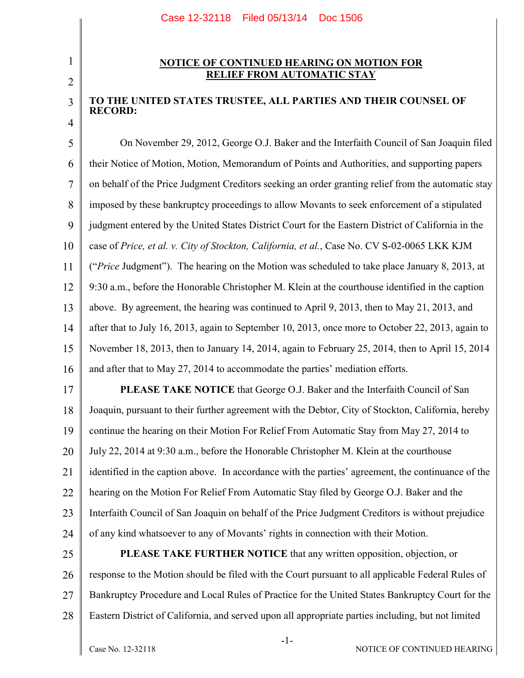## 2

3

4

1

## **NOTICE OF CONTINUED HEARING ON MOTION FOR RELIEF FROM AUTOMATIC STAY**

## **TO THE UNITED STATES TRUSTEE, ALL PARTIES AND THEIR COUNSEL OF RECORD:**

5 6 7 8 9 10 11 12 13 14 15 16 On November 29, 2012, George O.J. Baker and the Interfaith Council of San Joaquin filed their Notice of Motion, Motion, Memorandum of Points and Authorities, and supporting papers on behalf of the Price Judgment Creditors seeking an order granting relief from the automatic stay imposed by these bankruptcy proceedings to allow Movants to seek enforcement of a stipulated judgment entered by the United States District Court for the Eastern District of California in the case of *Price, et al. v. City of Stockton, California, et al.*, Case No. CV S-02-0065 LKK KJM ("*Price* Judgment"). The hearing on the Motion was scheduled to take place January 8, 2013, at 9:30 a.m., before the Honorable Christopher M. Klein at the courthouse identified in the caption above. By agreement, the hearing was continued to April 9, 2013, then to May 21, 2013, and after that to July 16, 2013, again to September 10, 2013, once more to October 22, 2013, again to November 18, 2013, then to January 14, 2014, again to February 25, 2014, then to April 15, 2014 and after that to May 27, 2014 to accommodate the parties' mediation efforts.

17 18 19 20 21 22 23 24 **PLEASE TAKE NOTICE** that George O.J. Baker and the Interfaith Council of San Joaquin, pursuant to their further agreement with the Debtor, City of Stockton, California, hereby continue the hearing on their Motion For Relief From Automatic Stay from May 27, 2014 to July 22, 2014 at 9:30 a.m., before the Honorable Christopher M. Klein at the courthouse identified in the caption above. In accordance with the parties' agreement, the continuance of the hearing on the Motion For Relief From Automatic Stay filed by George O.J. Baker and the Interfaith Council of San Joaquin on behalf of the Price Judgment Creditors is without prejudice of any kind whatsoever to any of Movants' rights in connection with their Motion.

25 26 27 28 **PLEASE TAKE FURTHER NOTICE** that any written opposition, objection, or response to the Motion should be filed with the Court pursuant to all applicable Federal Rules of Bankruptcy Procedure and Local Rules of Practice for the United States Bankruptcy Court for the Eastern District of California, and served upon all appropriate parties including, but not limited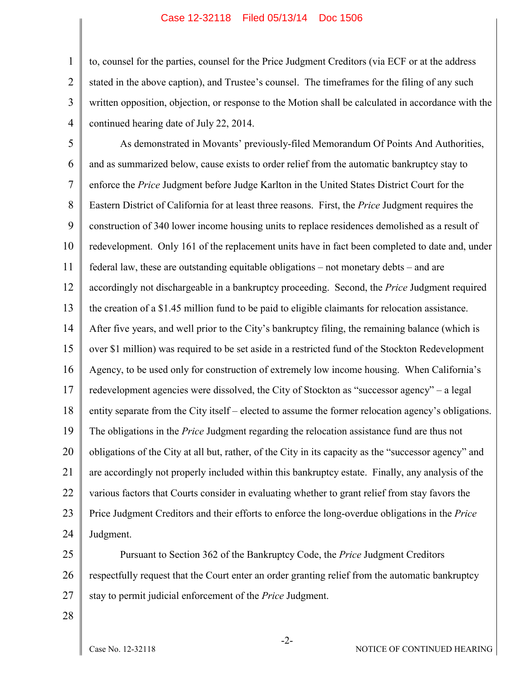## Case 12-32118 Filed 05/13/14 Doc 1506

1 2 3 4 to, counsel for the parties, counsel for the Price Judgment Creditors (via ECF or at the address stated in the above caption), and Trustee's counsel. The timeframes for the filing of any such written opposition, objection, or response to the Motion shall be calculated in accordance with the continued hearing date of July 22, 2014.

5 6 7 8 9 10 11 12 13 14 15 16 17 18 19 20 21 22 23 24 As demonstrated in Movants' previously-filed Memorandum Of Points And Authorities, and as summarized below, cause exists to order relief from the automatic bankruptcy stay to enforce the *Price* Judgment before Judge Karlton in the United States District Court for the Eastern District of California for at least three reasons. First, the *Price* Judgment requires the construction of 340 lower income housing units to replace residences demolished as a result of redevelopment. Only 161 of the replacement units have in fact been completed to date and, under federal law, these are outstanding equitable obligations – not monetary debts – and are accordingly not dischargeable in a bankruptcy proceeding. Second, the *Price* Judgment required the creation of a \$1.45 million fund to be paid to eligible claimants for relocation assistance. After five years, and well prior to the City's bankruptcy filing, the remaining balance (which is over \$1 million) was required to be set aside in a restricted fund of the Stockton Redevelopment Agency, to be used only for construction of extremely low income housing. When California's redevelopment agencies were dissolved, the City of Stockton as "successor agency" – a legal entity separate from the City itself – elected to assume the former relocation agency's obligations. The obligations in the *Price* Judgment regarding the relocation assistance fund are thus not obligations of the City at all but, rather, of the City in its capacity as the "successor agency" and are accordingly not properly included within this bankruptcy estate. Finally, any analysis of the various factors that Courts consider in evaluating whether to grant relief from stay favors the Price Judgment Creditors and their efforts to enforce the long-overdue obligations in the *Price* Judgment.

25 26 27 Pursuant to Section 362 of the Bankruptcy Code, the *Price* Judgment Creditors respectfully request that the Court enter an order granting relief from the automatic bankruptcy stay to permit judicial enforcement of the *Price* Judgment.

-2-

28